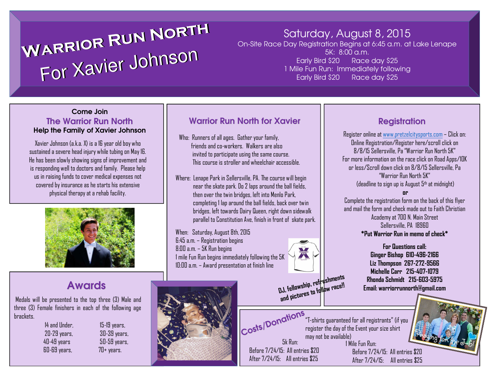#### **Warri or**For Xavier **RunNorth**WARRIUM Johnso**arri or**For Xavier **RunNorth** nJohnso

## Saturday, August 8, 2015

 On-Site Race Day Registration Begins at 6:45 a.m. at Lake Lenape5K: 8:00 a.m. Early Bird \$20 Race day \$25 1 Mile Fun Run: Immediately followingEarly Bird \$20 Race day \$25

#### Come Join The Warrior Run NorthHelp the Family of Xavier Johnson

Xavier Johnson (a.k.a. X) is a 16 year old boy who sustained a severe head injury while tubing on May 16. He has been slowly showing signs of improvement and is responding well to doctors and family. Please help us in raising funds to cover medical expenses not covered by insurance as he starts his extensive physical therapy at a rehab facility.



## Awards

Medals will be presented to the top three (3) Male and three (3) Female finishers in each of the following age brackets.

 $15-19$  years, 20-29 years, 30-39 years, 40-49 years 50-59 years,  $70+$  years.

### Warrior Run North for Xavier

Who: Runners of all ages. Gather your family, friends and co-workers. Walkers are also invited to participate using the same course. This course is stroller and wheelchair accessible.

Where: Lenape Park in Sellersville, PA. The course will begin near the skate park. Do 2 laps around the ball fields, then over the twin bridges, left into Menlo Park, completing 1 lap around the ball fields, back over twin bridges, left towards Dairy Queen, right down sidewalkparallel to Constitution Ave, finish in front of skate park.

When: Saturday, August 8th, 2015 6:45 a.m. – Registration begins 8:00 a.m. – 5K Run begins 1 mile Fun Run begins immediately following the 5K 10:00 a.m. – Award presentation at finish line



Costs/Donations Costs/Donations

5k Run: Before 7/24/15: All entries \$20After 7/24/15: All entries \$25

**DJ, fellowship, refreshments followrace!! and pictures to**

may not be available)

1 Mile Fun Run:

"T-shirts guaranteed for all registrants" (if you register the day of the Event your size shirt

> Before 7/24/15: All entries \$20After 7/24/15: All entries \$25



Register online at <u>www.pretzelcitysports.com</u> – Click on:<br>———————————————————— Online Registration/Register here/scroll click on 8/8/15 Sellersville, Pa "Warrior Run North 5K" For more information on the race click on Road Apps/10K or less/Scroll down click on 8/8/15 Sellersville, Pa"Warrior Run North 5K"(deadline to sign up is August  $5^{\text{th}}$  at midnight)

 Complete the registration form on the back of this flyer and mail the form and check made out to Faith Christian Academy at 700 N. Main StreetSellersville, PA 18960**\*Put Warrior Run in memo of check\***

**or**

**For Questions call:Ginger Bishop 610-496-2166 Liz Thompson 267-272-9566 Michelle Carr 215-407-1079 Rhonda Schmidt 215-603-5975Email: warriorrunnorth@gmail.com**